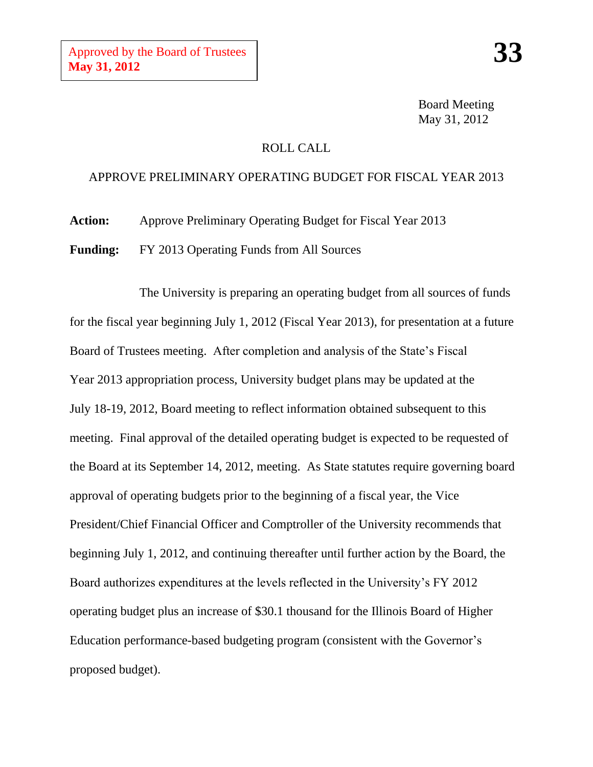Board Meeting May 31, 2012

## ROLL CALL

## APPROVE PRELIMINARY OPERATING BUDGET FOR FISCAL YEAR 2013

**Action:** Approve Preliminary Operating Budget for Fiscal Year 2013

**Funding:** FY 2013 Operating Funds from All Sources

The University is preparing an operating budget from all sources of funds for the fiscal year beginning July 1, 2012 (Fiscal Year 2013), for presentation at a future Board of Trustees meeting. After completion and analysis of the State's Fiscal Year 2013 appropriation process, University budget plans may be updated at the July 18-19, 2012, Board meeting to reflect information obtained subsequent to this meeting. Final approval of the detailed operating budget is expected to be requested of the Board at its September 14, 2012, meeting. As State statutes require governing board approval of operating budgets prior to the beginning of a fiscal year, the Vice President/Chief Financial Officer and Comptroller of the University recommends that beginning July 1, 2012, and continuing thereafter until further action by the Board, the Board authorizes expenditures at the levels reflected in the University's FY 2012 operating budget plus an increase of \$30.1 thousand for the Illinois Board of Higher Education performance-based budgeting program (consistent with the Governor's proposed budget).